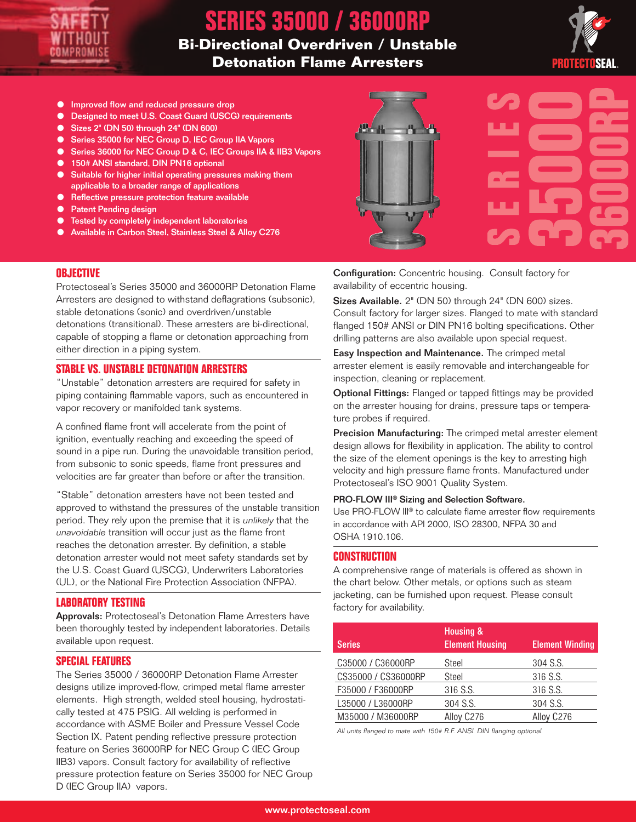

# **SERIES 35000 / 36000RP**

## **Bi-Directional Overdriven / Unstable Detonation Flame Arresters**



- Improved flow and reduced pressure drop
- Designed to meet U.S. Coast Guard (USCG) requirements
- Sizes 2" (DN 50) through 24" (DN 600)
- Series 35000 for NEC Group D, IEC Group IIA Vapors
- Series 36000 for NEC Group D & C, IEC Groups IIA & IIB3 Vapors
- 150# ANSI standard, DIN PN16 optional
- Suitable for higher initial operating pressures making them applicable to a broader range of applications
- Reflective pressure protection feature available
- Patent Pending design
- Tested by completely independent laboratories
- Available in Carbon Steel, Stainless Steel & Alloy C276



**OBJECTIVE**

Protectoseal's Series 35000 and 36000RP Detonation Flame Arresters are designed to withstand deflagrations (subsonic), stable detonations (sonic) and overdriven/unstable detonations (transitional). These arresters are bi-directional, capable of stopping a flame or detonation approaching from either direction in a piping system.

#### **STABLE VS. UNSTABLE DETONATION ARRESTERS**

"Unstable" detonation arresters are required for safety in piping containing flammable vapors, such as encountered in vapor recovery or manifolded tank systems.

A confined flame front will accelerate from the point of ignition, eventually reaching and exceeding the speed of sound in a pipe run. During the unavoidable transition period, from subsonic to sonic speeds, flame front pressures and velocities are far greater than before or after the transition.

"Stable" detonation arresters have not been tested and approved to withstand the pressures of the unstable transition period. They rely upon the premise that it is unlikely that the unavoidable transition will occur just as the flame front reaches the detonation arrester. By definition, a stable detonation arrester would not meet safety standards set by the U.S. Coast Guard (USCG), Underwriters Laboratories (UL), or the National Fire Protection Association (NFPA).

#### **LABORATORY TESTING**

Approvals: Protectoseal's Detonation Flame Arresters have been thoroughly tested by independent laboratories. Details available upon request.

#### **SPECIAL FEATURES**

The Series 35000 / 36000RP Detonation Flame Arrester designs utilize improved-flow, crimped metal flame arrester elements. High strength, welded steel housing, hydrostatically tested at 475 PSIG. All welding is performed in accordance with ASME Boiler and Pressure Vessel Code Section IX. Patent pending reflective pressure protection feature on Series 36000RP for NEC Group C (IEC Group IIB3) vapors. Consult factory for availability of reflective pressure protection feature on Series 35000 for NEC Group D (IEC Group IIA) vapors.

Configuration: Concentric housing. Consult factory for availability of eccentric housing.

Sizes Available. 2" (DN 50) through 24" (DN 600) sizes. Consult factory for larger sizes. Flanged to mate with standard flanged 150# ANSI or DIN PN16 bolting specifications. Other drilling patterns are also available upon special request.

Easy Inspection and Maintenance. The crimped metal arrester element is easily removable and interchangeable for inspection, cleaning or replacement.

Optional Fittings: Flanged or tapped fittings may be provided on the arrester housing for drains, pressure taps or temperature probes if required.

Precision Manufacturing: The crimped metal arrester element design allows for flexibility in application. The ability to control the size of the element openings is the key to arresting high velocity and high pressure flame fronts. Manufactured under Protectoseal's ISO 9001 Quality System.

#### PRO-FLOW III ® Sizing and Selection Software.

Use PRO-FLOW III® to calculate flame arrester flow requirements in accordance with API 2000, ISO 28300, NFPA 30 and OSHA 1910.106.

#### **CONSTRUCTION**

A comprehensive range of materials is offered as shown in the chart below. Other metals, or options such as steam jacketing, can be furnished upon request. Please consult factory for availability.

| <b>Series</b>       | <b>Housing &amp;</b><br><b>Element Housing</b> | <b>Element Winding</b> |
|---------------------|------------------------------------------------|------------------------|
| C35000 / C36000RP   | <b>Steel</b>                                   | 304 S.S.               |
| CS35000 / CS36000RP | Steel                                          | 316 S.S.               |
| F35000 / F36000RP   | 316 S.S.                                       | 316 S.S.               |
| L35000 / L36000RP   | 304 S.S.                                       | 304 S.S.               |
| M35000 / M36000RP   | Alloy C276                                     | Alloy C276             |

All units flanged to mate with 150# R.F. ANSI. DIN flanging optional.